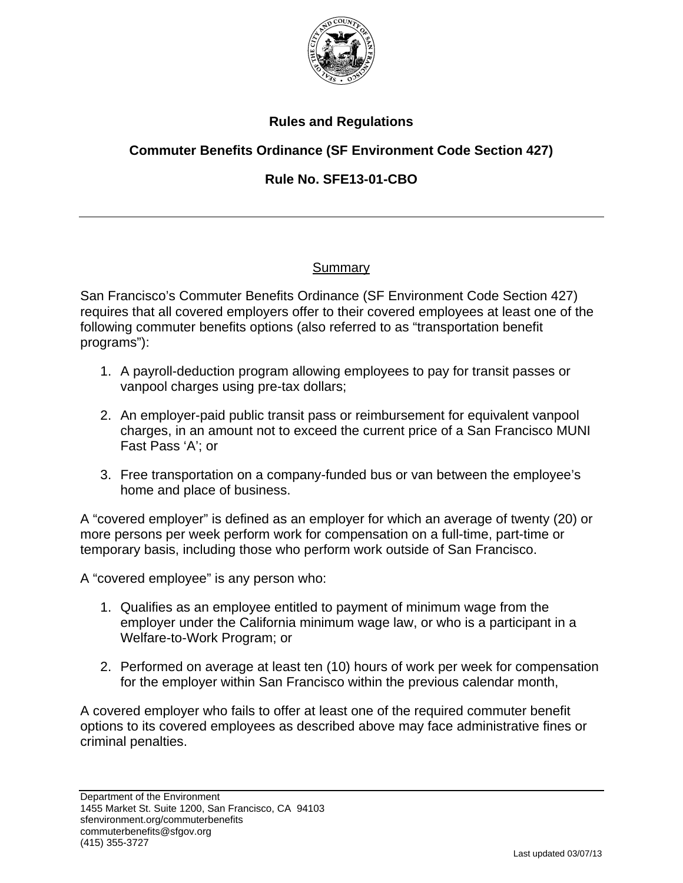

# **Rules and Regulations**

# **Commuter Benefits Ordinance (SF Environment Code Section 427)**

# **Rule No. SFE13-01-CBO**

## Summary

San Francisco's Commuter Benefits Ordinance (SF Environment Code Section 427) requires that all covered employers offer to their covered employees at least one of the following commuter benefits options (also referred to as "transportation benefit programs"):

- 1. A payroll-deduction program allowing employees to pay for transit passes or vanpool charges using pre-tax dollars;
- 2. An employer-paid public transit pass or reimbursement for equivalent vanpool charges, in an amount not to exceed the current price of a San Francisco MUNI Fast Pass 'A'; or
- 3. Free transportation on a company-funded bus or van between the employee's home and place of business.

A "covered employer" is defined as an employer for which an average of twenty (20) or more persons per week perform work for compensation on a full-time, part-time or temporary basis, including those who perform work outside of San Francisco.

A "covered employee" is any person who:

- 1. Qualifies as an employee entitled to payment of minimum wage from the employer under the California minimum wage law, or who is a participant in a Welfare-to-Work Program; or
- 2. Performed on average at least ten (10) hours of work per week for compensation for the employer within San Francisco within the previous calendar month,

A covered employer who fails to offer at least one of the required commuter benefit options to its covered employees as described above may face administrative fines or criminal penalties.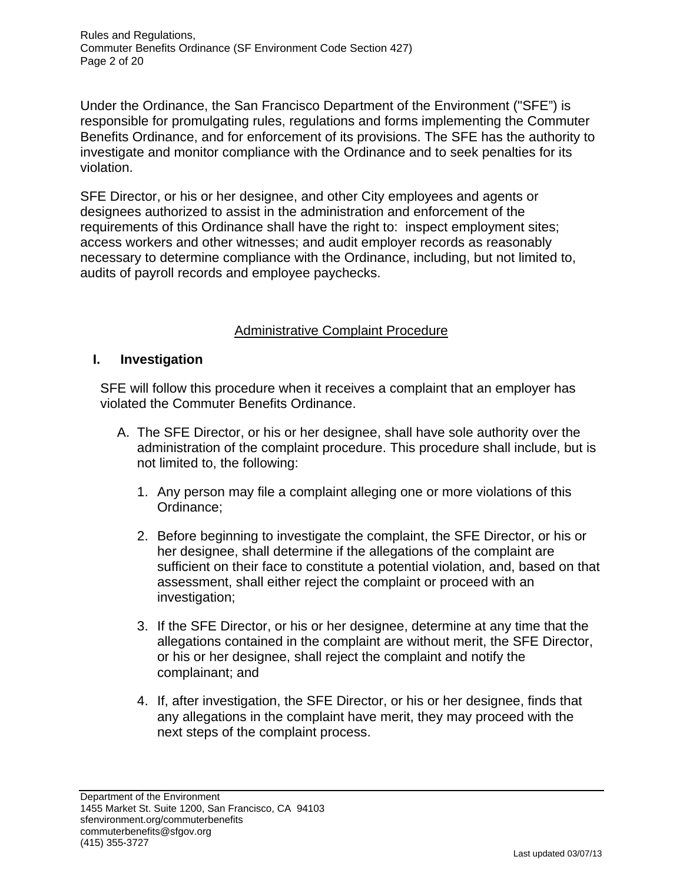Rules and Regulations, Commuter Benefits Ordinance (SF Environment Code Section 427) Page 2 of 20

Under the Ordinance, the San Francisco Department of the Environment ("SFE") is responsible for promulgating rules, regulations and forms implementing the Commuter Benefits Ordinance, and for enforcement of its provisions. The SFE has the authority to investigate and monitor compliance with the Ordinance and to seek penalties for its violation.

SFE Director, or his or her designee, and other City employees and agents or designees authorized to assist in the administration and enforcement of the requirements of this Ordinance shall have the right to: inspect employment sites; access workers and other witnesses; and audit employer records as reasonably necessary to determine compliance with the Ordinance, including, but not limited to, audits of payroll records and employee paychecks.

## Administrative Complaint Procedure

## **I. Investigation**

SFE will follow this procedure when it receives a complaint that an employer has violated the Commuter Benefits Ordinance.

- A. The SFE Director, or his or her designee, shall have sole authority over the administration of the complaint procedure. This procedure shall include, but is not limited to, the following:
	- 1. Any person may file a complaint alleging one or more violations of this Ordinance;
	- 2. Before beginning to investigate the complaint, the SFE Director, or his or her designee, shall determine if the allegations of the complaint are sufficient on their face to constitute a potential violation, and, based on that assessment, shall either reject the complaint or proceed with an investigation;
	- 3. If the SFE Director, or his or her designee, determine at any time that the allegations contained in the complaint are without merit, the SFE Director, or his or her designee, shall reject the complaint and notify the complainant; and
	- 4. If, after investigation, the SFE Director, or his or her designee, finds that any allegations in the complaint have merit, they may proceed with the next steps of the complaint process.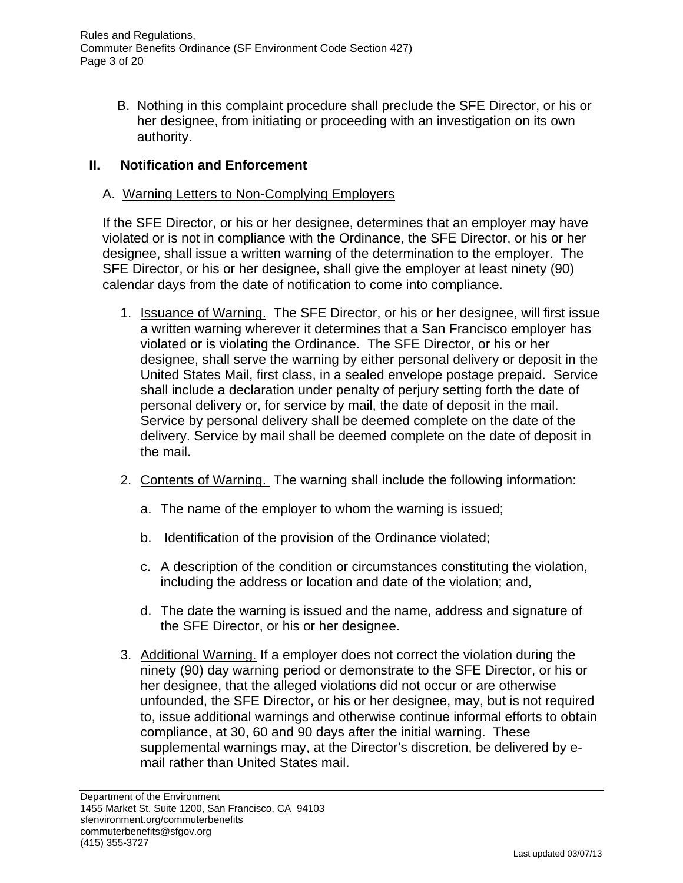Rules and Regulations, Commuter Benefits Ordinance (SF Environment Code Section 427) Page 3 of 20

> B. Nothing in this complaint procedure shall preclude the SFE Director, or his or her designee, from initiating or proceeding with an investigation on its own authority.

## **II. Notification and Enforcement**

## A. Warning Letters to Non-Complying Employers

If the SFE Director, or his or her designee, determines that an employer may have violated or is not in compliance with the Ordinance, the SFE Director, or his or her designee, shall issue a written warning of the determination to the employer. The SFE Director, or his or her designee, shall give the employer at least ninety (90) calendar days from the date of notification to come into compliance.

- 1. Issuance of Warning. The SFE Director, or his or her designee, will first issue a written warning wherever it determines that a San Francisco employer has violated or is violating the Ordinance. The SFE Director, or his or her designee, shall serve the warning by either personal delivery or deposit in the United States Mail, first class, in a sealed envelope postage prepaid. Service shall include a declaration under penalty of perjury setting forth the date of personal delivery or, for service by mail, the date of deposit in the mail. Service by personal delivery shall be deemed complete on the date of the delivery. Service by mail shall be deemed complete on the date of deposit in the mail.
- 2. Contents of Warning. The warning shall include the following information:
	- a. The name of the employer to whom the warning is issued;
	- b. Identification of the provision of the Ordinance violated;
	- c. A description of the condition or circumstances constituting the violation, including the address or location and date of the violation; and,
	- d. The date the warning is issued and the name, address and signature of the SFE Director, or his or her designee.
- 3. Additional Warning. If a employer does not correct the violation during the ninety (90) day warning period or demonstrate to the SFE Director, or his or her designee, that the alleged violations did not occur or are otherwise unfounded, the SFE Director, or his or her designee, may, but is not required to, issue additional warnings and otherwise continue informal efforts to obtain compliance, at 30, 60 and 90 days after the initial warning. These supplemental warnings may, at the Director's discretion, be delivered by email rather than United States mail.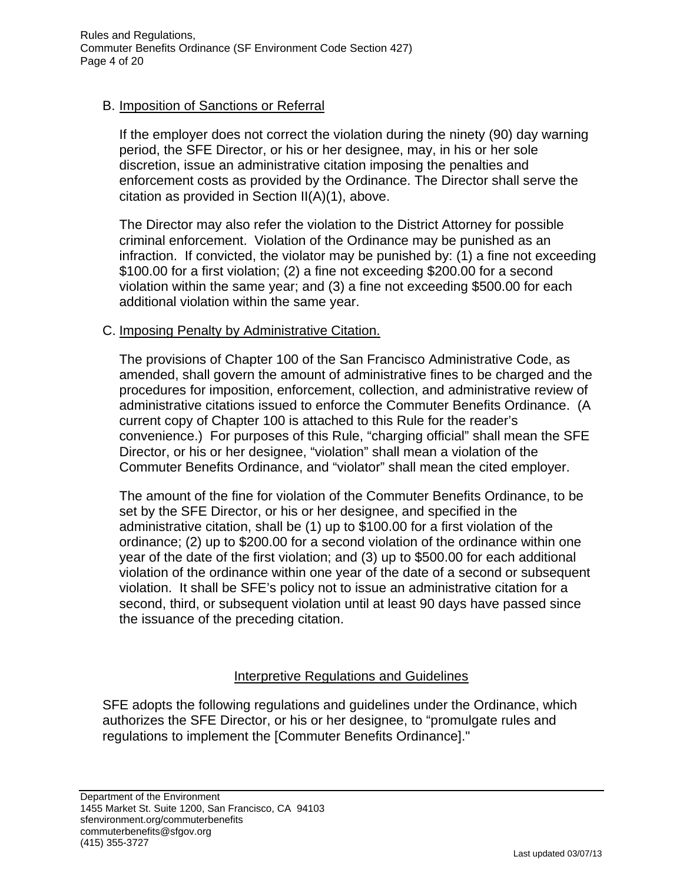## B. Imposition of Sanctions or Referral

If the employer does not correct the violation during the ninety (90) day warning period, the SFE Director, or his or her designee, may, in his or her sole discretion, issue an administrative citation imposing the penalties and enforcement costs as provided by the Ordinance. The Director shall serve the citation as provided in Section II(A)(1), above.

The Director may also refer the violation to the District Attorney for possible criminal enforcement. Violation of the Ordinance may be punished as an infraction. If convicted, the violator may be punished by: (1) a fine not exceeding \$100.00 for a first violation; (2) a fine not exceeding \$200.00 for a second violation within the same year; and (3) a fine not exceeding \$500.00 for each additional violation within the same year.

## C. Imposing Penalty by Administrative Citation.

 The provisions of Chapter 100 of the San Francisco Administrative Code, as amended, shall govern the amount of administrative fines to be charged and the procedures for imposition, enforcement, collection, and administrative review of administrative citations issued to enforce the Commuter Benefits Ordinance. (A current copy of Chapter 100 is attached to this Rule for the reader's convenience.) For purposes of this Rule, "charging official" shall mean the SFE Director, or his or her designee, "violation" shall mean a violation of the Commuter Benefits Ordinance, and "violator" shall mean the cited employer.

 The amount of the fine for violation of the Commuter Benefits Ordinance, to be set by the SFE Director, or his or her designee, and specified in the administrative citation, shall be (1) up to \$100.00 for a first violation of the ordinance; (2) up to \$200.00 for a second violation of the ordinance within one year of the date of the first violation; and (3) up to \$500.00 for each additional violation of the ordinance within one year of the date of a second or subsequent violation. It shall be SFE's policy not to issue an administrative citation for a second, third, or subsequent violation until at least 90 days have passed since the issuance of the preceding citation.

## Interpretive Regulations and Guidelines

SFE adopts the following regulations and guidelines under the Ordinance, which authorizes the SFE Director, or his or her designee, to "promulgate rules and regulations to implement the [Commuter Benefits Ordinance]."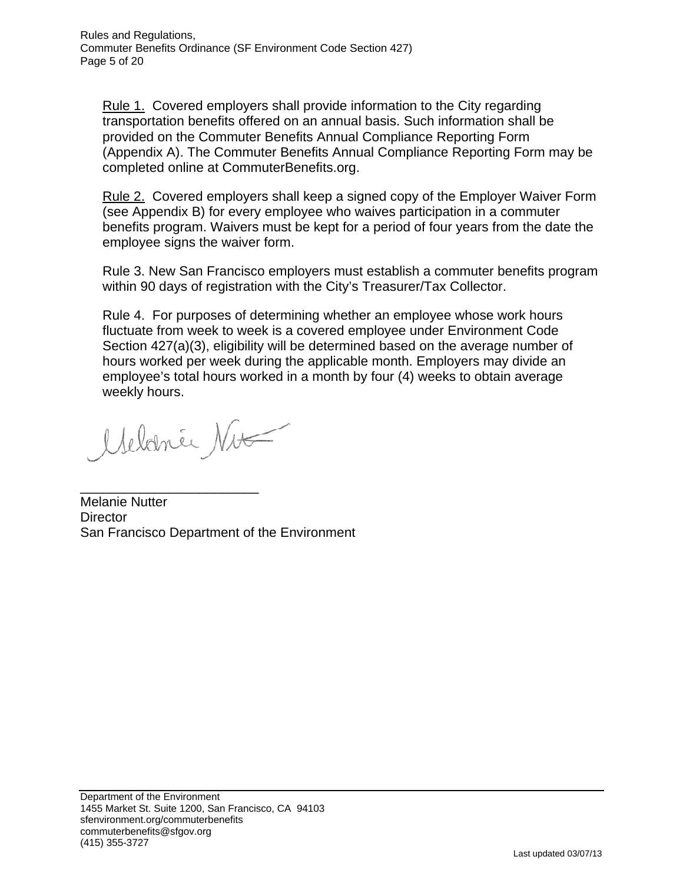Rule 1. Covered employers shall provide information to the City regarding transportation benefits offered on an annual basis. Such information shall be provided on the Commuter Benefits Annual Compliance Reporting Form (Appendix A). The Commuter Benefits Annual Compliance Reporting Form may be completed online at CommuterBenefits.org.

Rule 2. Covered employers shall keep a signed copy of the Employer Waiver Form (see Appendix B) for every employee who waives participation in a commuter benefits program. Waivers must be kept for a period of four years from the date the employee signs the waiver form.

Rule 3. New San Francisco employers must establish a commuter benefits program within 90 days of registration with the City's Treasurer/Tax Collector.

Rule 4. For purposes of determining whether an employee whose work hours fluctuate from week to week is a covered employee under Environment Code Section 427(a)(3), eligibility will be determined based on the average number of hours worked per week during the applicable month. Employers may divide an employee's total hours worked in a month by four (4) weeks to obtain average weekly hours.

Melanie Nu

\_\_\_\_\_\_\_\_\_\_\_\_\_\_\_\_\_\_\_\_\_\_\_\_

Melanie Nutter **Director** San Francisco Department of the Environment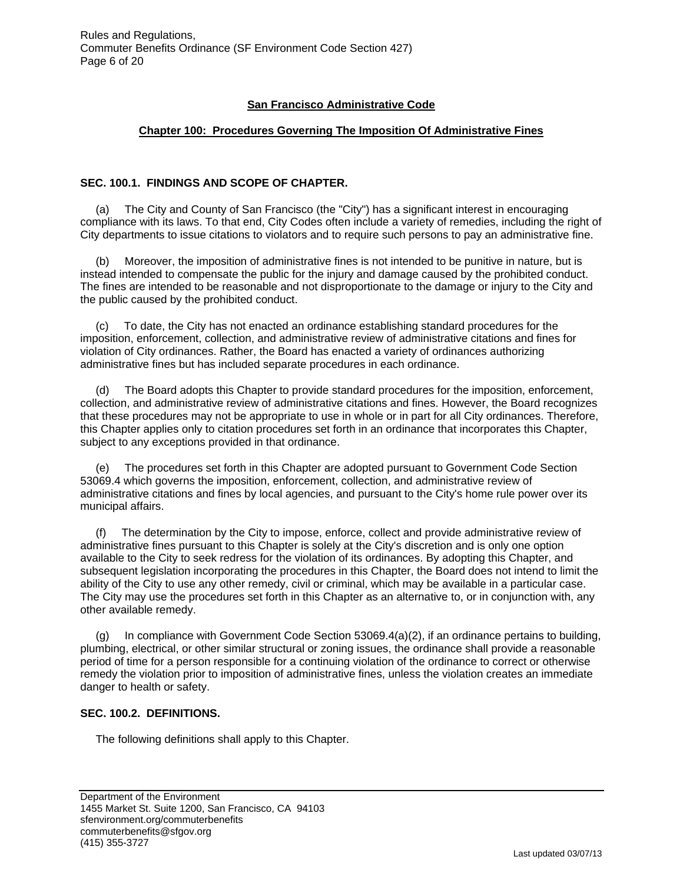#### **San Francisco Administrative Code**

#### **Chapter 100: Procedures Governing The Imposition Of Administrative Fines**

#### **SEC. 100.1. FINDINGS AND SCOPE OF CHAPTER.**

 (a) The City and County of San Francisco (the "City") has a significant interest in encouraging compliance with its laws. To that end, City Codes often include a variety of remedies, including the right of City departments to issue citations to violators and to require such persons to pay an administrative fine.

Moreover, the imposition of administrative fines is not intended to be punitive in nature, but is instead intended to compensate the public for the injury and damage caused by the prohibited conduct. The fines are intended to be reasonable and not disproportionate to the damage or injury to the City and the public caused by the prohibited conduct.

 (c) To date, the City has not enacted an ordinance establishing standard procedures for the imposition, enforcement, collection, and administrative review of administrative citations and fines for violation of City ordinances. Rather, the Board has enacted a variety of ordinances authorizing administrative fines but has included separate procedures in each ordinance.

 (d) The Board adopts this Chapter to provide standard procedures for the imposition, enforcement, collection, and administrative review of administrative citations and fines. However, the Board recognizes that these procedures may not be appropriate to use in whole or in part for all City ordinances. Therefore, this Chapter applies only to citation procedures set forth in an ordinance that incorporates this Chapter, subject to any exceptions provided in that ordinance.

 (e) The procedures set forth in this Chapter are adopted pursuant to Government Code Section 53069.4 which governs the imposition, enforcement, collection, and administrative review of administrative citations and fines by local agencies, and pursuant to the City's home rule power over its municipal affairs.

 (f) The determination by the City to impose, enforce, collect and provide administrative review of administrative fines pursuant to this Chapter is solely at the City's discretion and is only one option available to the City to seek redress for the violation of its ordinances. By adopting this Chapter, and subsequent legislation incorporating the procedures in this Chapter, the Board does not intend to limit the ability of the City to use any other remedy, civil or criminal, which may be available in a particular case. The City may use the procedures set forth in this Chapter as an alternative to, or in conjunction with, any other available remedy.

(g) In compliance with Government Code Section 53069.4(a)(2), if an ordinance pertains to building, plumbing, electrical, or other similar structural or zoning issues, the ordinance shall provide a reasonable period of time for a person responsible for a continuing violation of the ordinance to correct or otherwise remedy the violation prior to imposition of administrative fines, unless the violation creates an immediate danger to health or safety.

#### **SEC. 100.2. DEFINITIONS.**

The following definitions shall apply to this Chapter.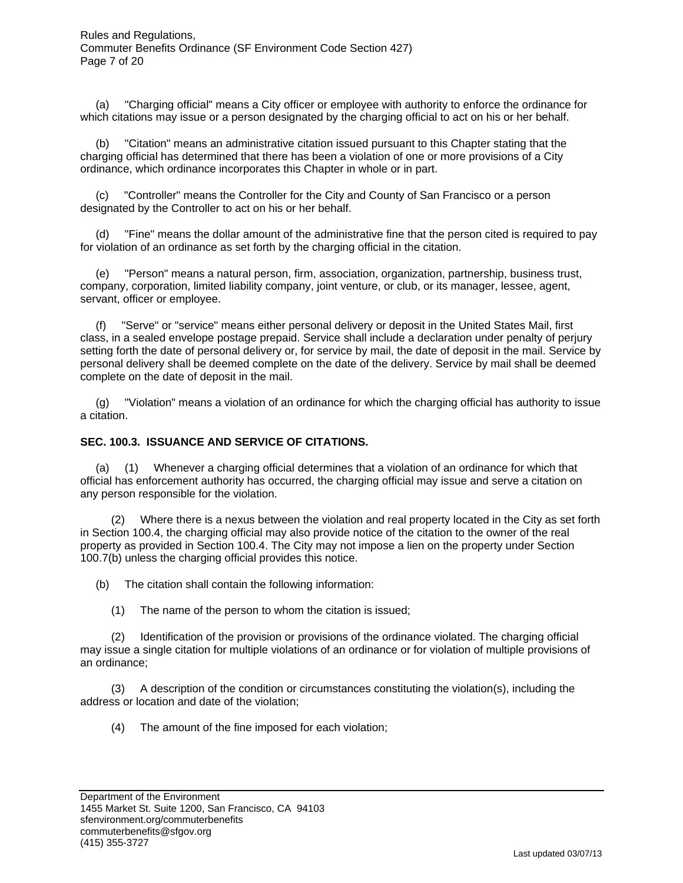(a) "Charging official" means a City officer or employee with authority to enforce the ordinance for which citations may issue or a person designated by the charging official to act on his or her behalf.

 (b) "Citation" means an administrative citation issued pursuant to this Chapter stating that the charging official has determined that there has been a violation of one or more provisions of a City ordinance, which ordinance incorporates this Chapter in whole or in part.

 (c) "Controller" means the Controller for the City and County of San Francisco or a person designated by the Controller to act on his or her behalf.

 (d) "Fine" means the dollar amount of the administrative fine that the person cited is required to pay for violation of an ordinance as set forth by the charging official in the citation.

 (e) "Person" means a natural person, firm, association, organization, partnership, business trust, company, corporation, limited liability company, joint venture, or club, or its manager, lessee, agent, servant, officer or employee.

 (f) "Serve" or "service" means either personal delivery or deposit in the United States Mail, first class, in a sealed envelope postage prepaid. Service shall include a declaration under penalty of perjury setting forth the date of personal delivery or, for service by mail, the date of deposit in the mail. Service by personal delivery shall be deemed complete on the date of the delivery. Service by mail shall be deemed complete on the date of deposit in the mail.

 (g) "Violation" means a violation of an ordinance for which the charging official has authority to issue a citation.

#### **SEC. 100.3. ISSUANCE AND SERVICE OF CITATIONS.**

 (a) (1) Whenever a charging official determines that a violation of an ordinance for which that official has enforcement authority has occurred, the charging official may issue and serve a citation on any person responsible for the violation.

 (2) Where there is a nexus between the violation and real property located in the City as set forth in Section 100.4, the charging official may also provide notice of the citation to the owner of the real property as provided in Section 100.4. The City may not impose a lien on the property under Section 100.7(b) unless the charging official provides this notice.

(b) The citation shall contain the following information:

(1) The name of the person to whom the citation is issued;

 (2) Identification of the provision or provisions of the ordinance violated. The charging official may issue a single citation for multiple violations of an ordinance or for violation of multiple provisions of an ordinance;

 (3) A description of the condition or circumstances constituting the violation(s), including the address or location and date of the violation;

(4) The amount of the fine imposed for each violation;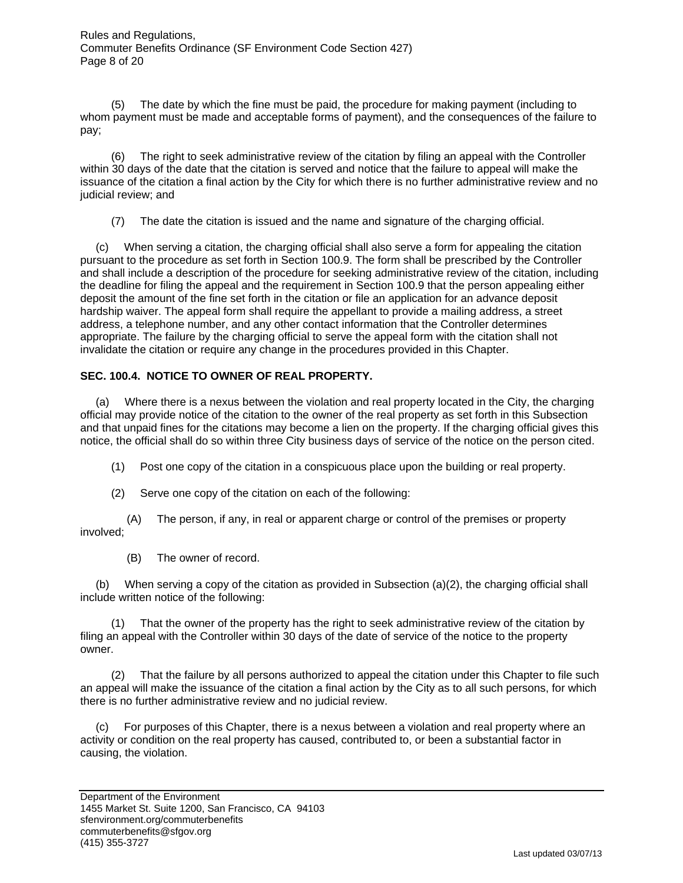Rules and Regulations, Commuter Benefits Ordinance (SF Environment Code Section 427) Page 8 of 20

 (5) The date by which the fine must be paid, the procedure for making payment (including to whom payment must be made and acceptable forms of payment), and the consequences of the failure to pay;

 (6) The right to seek administrative review of the citation by filing an appeal with the Controller within 30 days of the date that the citation is served and notice that the failure to appeal will make the issuance of the citation a final action by the City for which there is no further administrative review and no judicial review; and

(7) The date the citation is issued and the name and signature of the charging official.

 (c) When serving a citation, the charging official shall also serve a form for appealing the citation pursuant to the procedure as set forth in Section 100.9. The form shall be prescribed by the Controller and shall include a description of the procedure for seeking administrative review of the citation, including the deadline for filing the appeal and the requirement in Section 100.9 that the person appealing either deposit the amount of the fine set forth in the citation or file an application for an advance deposit hardship waiver. The appeal form shall require the appellant to provide a mailing address, a street address, a telephone number, and any other contact information that the Controller determines appropriate. The failure by the charging official to serve the appeal form with the citation shall not invalidate the citation or require any change in the procedures provided in this Chapter.

#### **SEC. 100.4. NOTICE TO OWNER OF REAL PROPERTY.**

 (a) Where there is a nexus between the violation and real property located in the City, the charging official may provide notice of the citation to the owner of the real property as set forth in this Subsection and that unpaid fines for the citations may become a lien on the property. If the charging official gives this notice, the official shall do so within three City business days of service of the notice on the person cited.

(1) Post one copy of the citation in a conspicuous place upon the building or real property.

(2) Serve one copy of the citation on each of the following:

 (A) The person, if any, in real or apparent charge or control of the premises or property involved;

(B) The owner of record.

 (b) When serving a copy of the citation as provided in Subsection (a)(2), the charging official shall include written notice of the following:

 (1) That the owner of the property has the right to seek administrative review of the citation by filing an appeal with the Controller within 30 days of the date of service of the notice to the property owner.

 (2) That the failure by all persons authorized to appeal the citation under this Chapter to file such an appeal will make the issuance of the citation a final action by the City as to all such persons, for which there is no further administrative review and no judicial review.

 (c) For purposes of this Chapter, there is a nexus between a violation and real property where an activity or condition on the real property has caused, contributed to, or been a substantial factor in causing, the violation.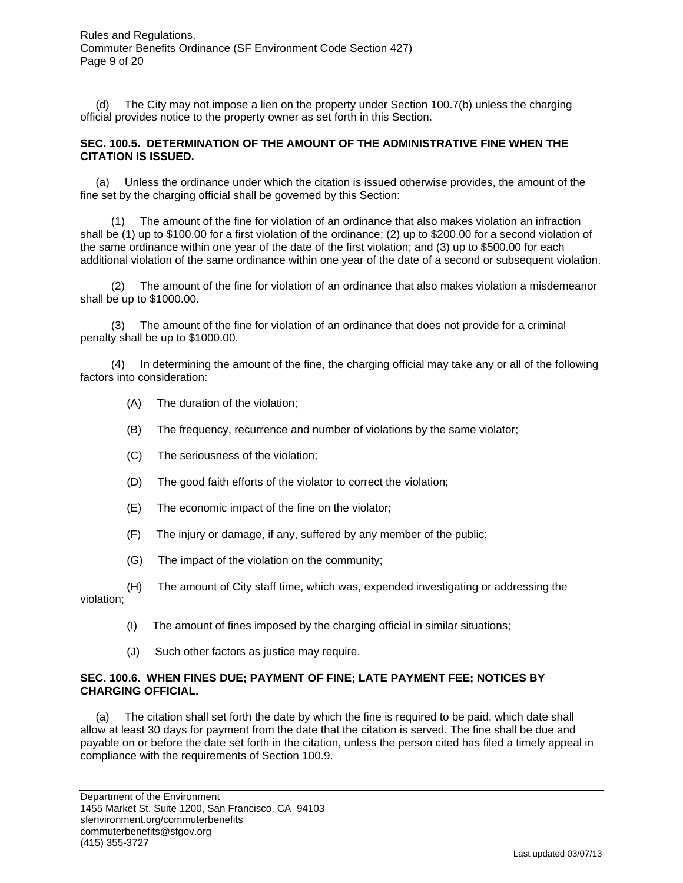(d) The City may not impose a lien on the property under Section 100.7(b) unless the charging official provides notice to the property owner as set forth in this Section.

#### **SEC. 100.5. DETERMINATION OF THE AMOUNT OF THE ADMINISTRATIVE FINE WHEN THE CITATION IS ISSUED.**

 (a) Unless the ordinance under which the citation is issued otherwise provides, the amount of the fine set by the charging official shall be governed by this Section:

 (1) The amount of the fine for violation of an ordinance that also makes violation an infraction shall be (1) up to \$100.00 for a first violation of the ordinance; (2) up to \$200.00 for a second violation of the same ordinance within one year of the date of the first violation; and (3) up to \$500.00 for each additional violation of the same ordinance within one year of the date of a second or subsequent violation.

 (2) The amount of the fine for violation of an ordinance that also makes violation a misdemeanor shall be up to \$1000.00.

 (3) The amount of the fine for violation of an ordinance that does not provide for a criminal penalty shall be up to \$1000.00.

 (4) In determining the amount of the fine, the charging official may take any or all of the following factors into consideration:

- (A) The duration of the violation;
- (B) The frequency, recurrence and number of violations by the same violator;
- (C) The seriousness of the violation;
- (D) The good faith efforts of the violator to correct the violation;
- (E) The economic impact of the fine on the violator;
- (F) The injury or damage, if any, suffered by any member of the public;
- (G) The impact of the violation on the community;
- (H) The amount of City staff time, which was, expended investigating or addressing the violation;
	- (I) The amount of fines imposed by the charging official in similar situations;
	- (J) Such other factors as justice may require.

#### **SEC. 100.6. WHEN FINES DUE; PAYMENT OF FINE; LATE PAYMENT FEE; NOTICES BY CHARGING OFFICIAL.**

 (a) The citation shall set forth the date by which the fine is required to be paid, which date shall allow at least 30 days for payment from the date that the citation is served. The fine shall be due and payable on or before the date set forth in the citation, unless the person cited has filed a timely appeal in compliance with the requirements of Section 100.9.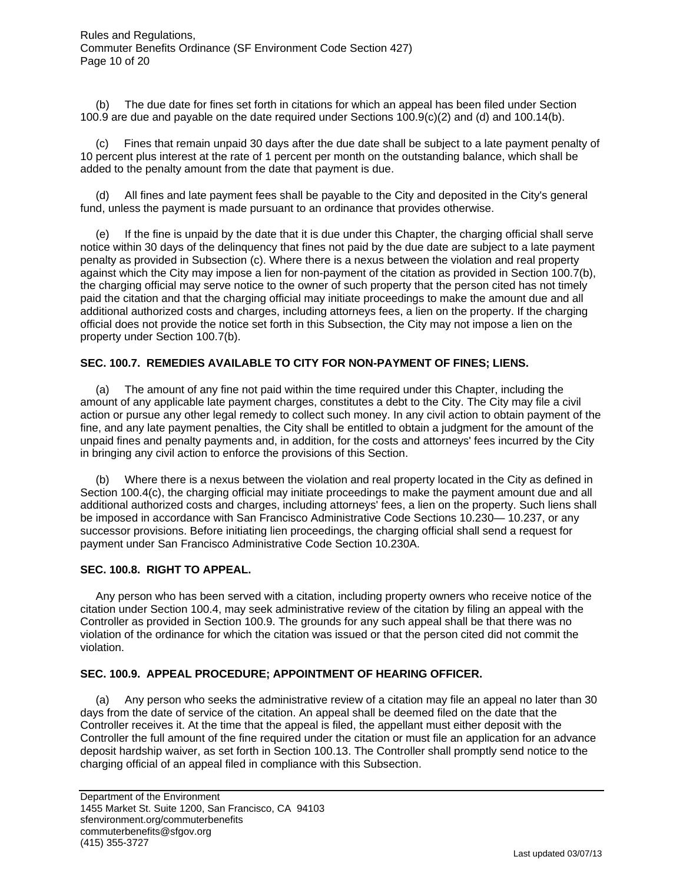Rules and Regulations, Commuter Benefits Ordinance (SF Environment Code Section 427) Page 10 of 20

 (b) The due date for fines set forth in citations for which an appeal has been filed under Section 100.9 are due and payable on the date required under Sections 100.9(c)(2) and (d) and 100.14(b).

 (c) Fines that remain unpaid 30 days after the due date shall be subject to a late payment penalty of 10 percent plus interest at the rate of 1 percent per month on the outstanding balance, which shall be added to the penalty amount from the date that payment is due.

 (d) All fines and late payment fees shall be payable to the City and deposited in the City's general fund, unless the payment is made pursuant to an ordinance that provides otherwise.

 (e) If the fine is unpaid by the date that it is due under this Chapter, the charging official shall serve notice within 30 days of the delinquency that fines not paid by the due date are subject to a late payment penalty as provided in Subsection (c). Where there is a nexus between the violation and real property against which the City may impose a lien for non-payment of the citation as provided in Section 100.7(b), the charging official may serve notice to the owner of such property that the person cited has not timely paid the citation and that the charging official may initiate proceedings to make the amount due and all additional authorized costs and charges, including attorneys fees, a lien on the property. If the charging official does not provide the notice set forth in this Subsection, the City may not impose a lien on the property under Section 100.7(b).

#### **SEC. 100.7. REMEDIES AVAILABLE TO CITY FOR NON-PAYMENT OF FINES; LIENS.**

 (a) The amount of any fine not paid within the time required under this Chapter, including the amount of any applicable late payment charges, constitutes a debt to the City. The City may file a civil action or pursue any other legal remedy to collect such money. In any civil action to obtain payment of the fine, and any late payment penalties, the City shall be entitled to obtain a judgment for the amount of the unpaid fines and penalty payments and, in addition, for the costs and attorneys' fees incurred by the City in bringing any civil action to enforce the provisions of this Section.

 (b) Where there is a nexus between the violation and real property located in the City as defined in Section 100.4(c), the charging official may initiate proceedings to make the payment amount due and all additional authorized costs and charges, including attorneys' fees, a lien on the property. Such liens shall be imposed in accordance with San Francisco Administrative Code Sections 10.230— 10.237, or any successor provisions. Before initiating lien proceedings, the charging official shall send a request for payment under San Francisco Administrative Code Section 10.230A.

#### **SEC. 100.8. RIGHT TO APPEAL.**

 Any person who has been served with a citation, including property owners who receive notice of the citation under Section 100.4, may seek administrative review of the citation by filing an appeal with the Controller as provided in Section 100.9. The grounds for any such appeal shall be that there was no violation of the ordinance for which the citation was issued or that the person cited did not commit the violation.

#### **SEC. 100.9. APPEAL PROCEDURE; APPOINTMENT OF HEARING OFFICER.**

 (a) Any person who seeks the administrative review of a citation may file an appeal no later than 30 days from the date of service of the citation. An appeal shall be deemed filed on the date that the Controller receives it. At the time that the appeal is filed, the appellant must either deposit with the Controller the full amount of the fine required under the citation or must file an application for an advance deposit hardship waiver, as set forth in Section 100.13. The Controller shall promptly send notice to the charging official of an appeal filed in compliance with this Subsection.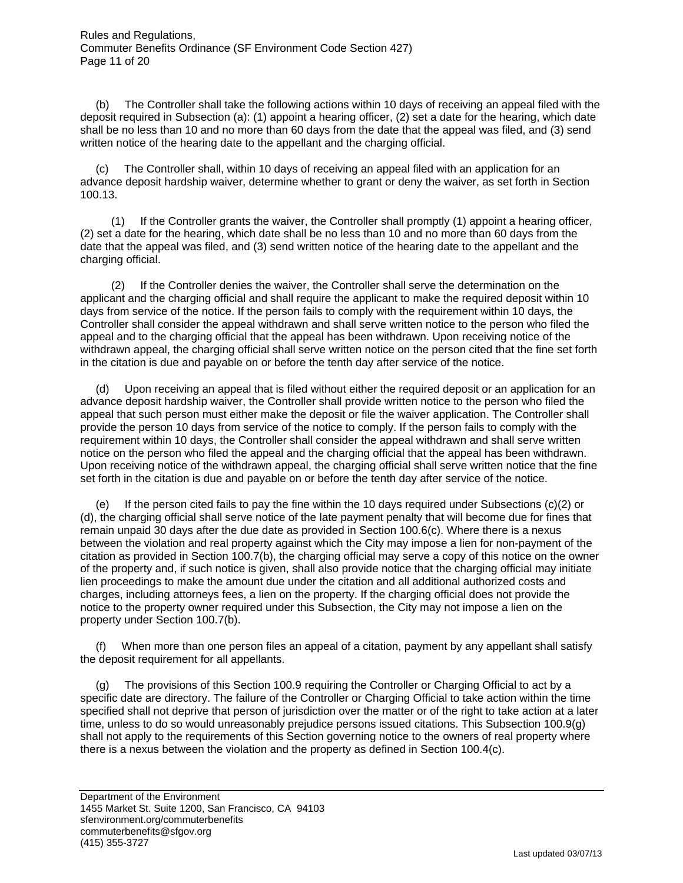(b) The Controller shall take the following actions within 10 days of receiving an appeal filed with the deposit required in Subsection (a): (1) appoint a hearing officer, (2) set a date for the hearing, which date shall be no less than 10 and no more than 60 days from the date that the appeal was filed, and (3) send written notice of the hearing date to the appellant and the charging official.

 (c) The Controller shall, within 10 days of receiving an appeal filed with an application for an advance deposit hardship waiver, determine whether to grant or deny the waiver, as set forth in Section 100.13.

 (1) If the Controller grants the waiver, the Controller shall promptly (1) appoint a hearing officer, (2) set a date for the hearing, which date shall be no less than 10 and no more than 60 days from the date that the appeal was filed, and (3) send written notice of the hearing date to the appellant and the charging official.

 (2) If the Controller denies the waiver, the Controller shall serve the determination on the applicant and the charging official and shall require the applicant to make the required deposit within 10 days from service of the notice. If the person fails to comply with the requirement within 10 days, the Controller shall consider the appeal withdrawn and shall serve written notice to the person who filed the appeal and to the charging official that the appeal has been withdrawn. Upon receiving notice of the withdrawn appeal, the charging official shall serve written notice on the person cited that the fine set forth in the citation is due and payable on or before the tenth day after service of the notice.

 (d) Upon receiving an appeal that is filed without either the required deposit or an application for an advance deposit hardship waiver, the Controller shall provide written notice to the person who filed the appeal that such person must either make the deposit or file the waiver application. The Controller shall provide the person 10 days from service of the notice to comply. If the person fails to comply with the requirement within 10 days, the Controller shall consider the appeal withdrawn and shall serve written notice on the person who filed the appeal and the charging official that the appeal has been withdrawn. Upon receiving notice of the withdrawn appeal, the charging official shall serve written notice that the fine set forth in the citation is due and payable on or before the tenth day after service of the notice.

 (e) If the person cited fails to pay the fine within the 10 days required under Subsections (c)(2) or (d), the charging official shall serve notice of the late payment penalty that will become due for fines that remain unpaid 30 days after the due date as provided in Section 100.6(c). Where there is a nexus between the violation and real property against which the City may impose a lien for non-payment of the citation as provided in Section 100.7(b), the charging official may serve a copy of this notice on the owner of the property and, if such notice is given, shall also provide notice that the charging official may initiate lien proceedings to make the amount due under the citation and all additional authorized costs and charges, including attorneys fees, a lien on the property. If the charging official does not provide the notice to the property owner required under this Subsection, the City may not impose a lien on the property under Section 100.7(b).

 (f) When more than one person files an appeal of a citation, payment by any appellant shall satisfy the deposit requirement for all appellants.

 (g) The provisions of this Section 100.9 requiring the Controller or Charging Official to act by a specific date are directory. The failure of the Controller or Charging Official to take action within the time specified shall not deprive that person of jurisdiction over the matter or of the right to take action at a later time, unless to do so would unreasonably prejudice persons issued citations. This Subsection 100.9(g) shall not apply to the requirements of this Section governing notice to the owners of real property where there is a nexus between the violation and the property as defined in Section 100.4(c).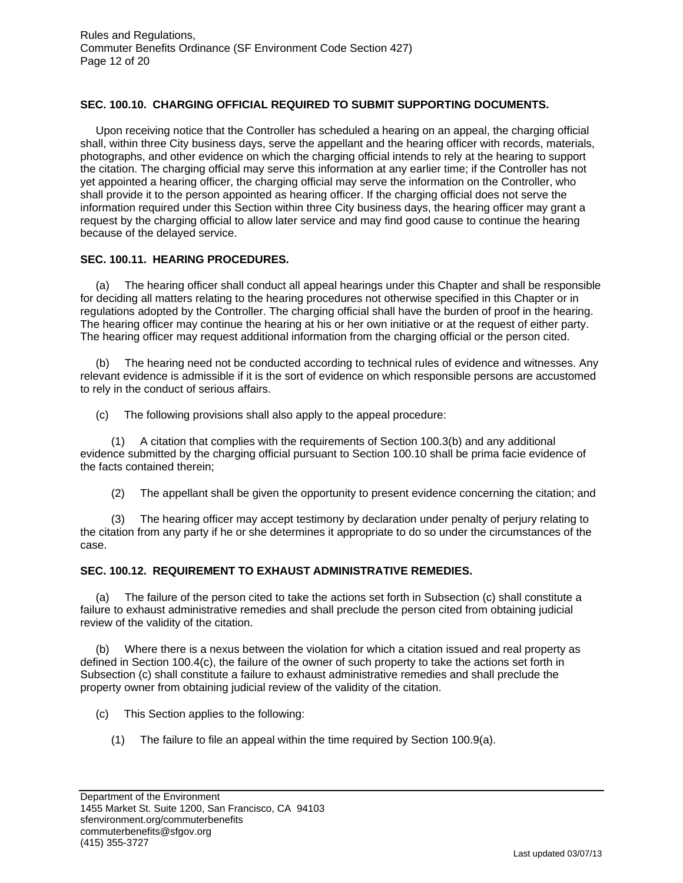#### **SEC. 100.10. CHARGING OFFICIAL REQUIRED TO SUBMIT SUPPORTING DOCUMENTS.**

 Upon receiving notice that the Controller has scheduled a hearing on an appeal, the charging official shall, within three City business days, serve the appellant and the hearing officer with records, materials, photographs, and other evidence on which the charging official intends to rely at the hearing to support the citation. The charging official may serve this information at any earlier time; if the Controller has not yet appointed a hearing officer, the charging official may serve the information on the Controller, who shall provide it to the person appointed as hearing officer. If the charging official does not serve the information required under this Section within three City business days, the hearing officer may grant a request by the charging official to allow later service and may find good cause to continue the hearing because of the delayed service.

#### **SEC. 100.11. HEARING PROCEDURES.**

 (a) The hearing officer shall conduct all appeal hearings under this Chapter and shall be responsible for deciding all matters relating to the hearing procedures not otherwise specified in this Chapter or in regulations adopted by the Controller. The charging official shall have the burden of proof in the hearing. The hearing officer may continue the hearing at his or her own initiative or at the request of either party. The hearing officer may request additional information from the charging official or the person cited.

 (b) The hearing need not be conducted according to technical rules of evidence and witnesses. Any relevant evidence is admissible if it is the sort of evidence on which responsible persons are accustomed to rely in the conduct of serious affairs.

(c) The following provisions shall also apply to the appeal procedure:

 (1) A citation that complies with the requirements of Section 100.3(b) and any additional evidence submitted by the charging official pursuant to Section 100.10 shall be prima facie evidence of the facts contained therein;

(2) The appellant shall be given the opportunity to present evidence concerning the citation; and

 (3) The hearing officer may accept testimony by declaration under penalty of perjury relating to the citation from any party if he or she determines it appropriate to do so under the circumstances of the case.

#### **SEC. 100.12. REQUIREMENT TO EXHAUST ADMINISTRATIVE REMEDIES.**

 (a) The failure of the person cited to take the actions set forth in Subsection (c) shall constitute a failure to exhaust administrative remedies and shall preclude the person cited from obtaining judicial review of the validity of the citation.

 (b) Where there is a nexus between the violation for which a citation issued and real property as defined in Section 100.4(c), the failure of the owner of such property to take the actions set forth in Subsection (c) shall constitute a failure to exhaust administrative remedies and shall preclude the property owner from obtaining judicial review of the validity of the citation.

(c) This Section applies to the following:

(1) The failure to file an appeal within the time required by Section 100.9(a).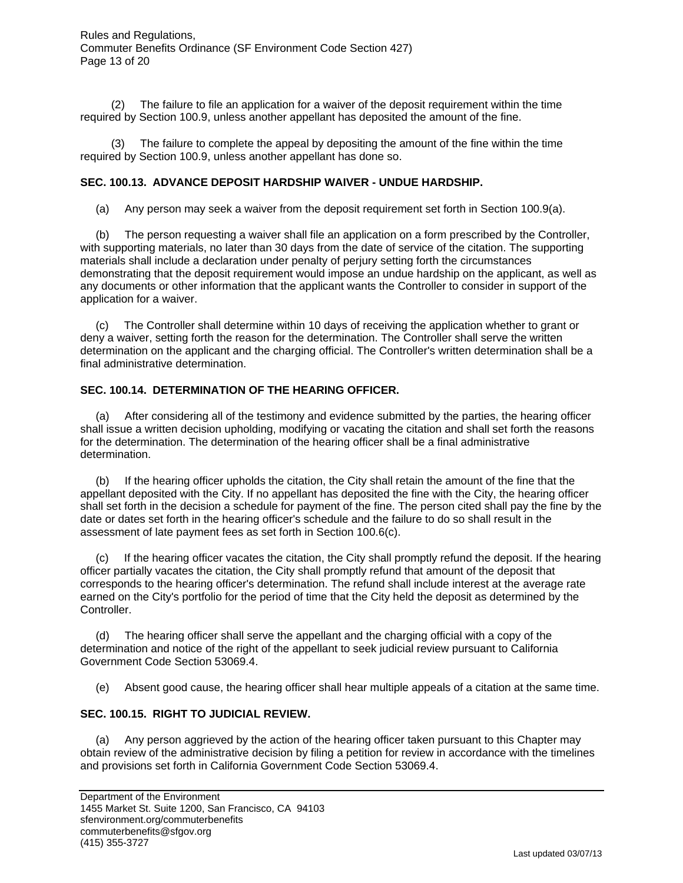Rules and Regulations, Commuter Benefits Ordinance (SF Environment Code Section 427) Page 13 of 20

 (2) The failure to file an application for a waiver of the deposit requirement within the time required by Section 100.9, unless another appellant has deposited the amount of the fine.

 (3) The failure to complete the appeal by depositing the amount of the fine within the time required by Section 100.9, unless another appellant has done so.

#### **SEC. 100.13. ADVANCE DEPOSIT HARDSHIP WAIVER - UNDUE HARDSHIP.**

(a) Any person may seek a waiver from the deposit requirement set forth in Section 100.9(a).

 (b) The person requesting a waiver shall file an application on a form prescribed by the Controller, with supporting materials, no later than 30 days from the date of service of the citation. The supporting materials shall include a declaration under penalty of perjury setting forth the circumstances demonstrating that the deposit requirement would impose an undue hardship on the applicant, as well as any documents or other information that the applicant wants the Controller to consider in support of the application for a waiver.

 (c) The Controller shall determine within 10 days of receiving the application whether to grant or deny a waiver, setting forth the reason for the determination. The Controller shall serve the written determination on the applicant and the charging official. The Controller's written determination shall be a final administrative determination.

#### **SEC. 100.14. DETERMINATION OF THE HEARING OFFICER.**

 (a) After considering all of the testimony and evidence submitted by the parties, the hearing officer shall issue a written decision upholding, modifying or vacating the citation and shall set forth the reasons for the determination. The determination of the hearing officer shall be a final administrative determination.

 (b) If the hearing officer upholds the citation, the City shall retain the amount of the fine that the appellant deposited with the City. If no appellant has deposited the fine with the City, the hearing officer shall set forth in the decision a schedule for payment of the fine. The person cited shall pay the fine by the date or dates set forth in the hearing officer's schedule and the failure to do so shall result in the assessment of late payment fees as set forth in Section 100.6(c).

 (c) If the hearing officer vacates the citation, the City shall promptly refund the deposit. If the hearing officer partially vacates the citation, the City shall promptly refund that amount of the deposit that corresponds to the hearing officer's determination. The refund shall include interest at the average rate earned on the City's portfolio for the period of time that the City held the deposit as determined by the Controller.

 (d) The hearing officer shall serve the appellant and the charging official with a copy of the determination and notice of the right of the appellant to seek judicial review pursuant to California Government Code Section 53069.4.

(e) Absent good cause, the hearing officer shall hear multiple appeals of a citation at the same time.

#### **SEC. 100.15. RIGHT TO JUDICIAL REVIEW.**

 (a) Any person aggrieved by the action of the hearing officer taken pursuant to this Chapter may obtain review of the administrative decision by filing a petition for review in accordance with the timelines and provisions set forth in California Government Code Section 53069.4.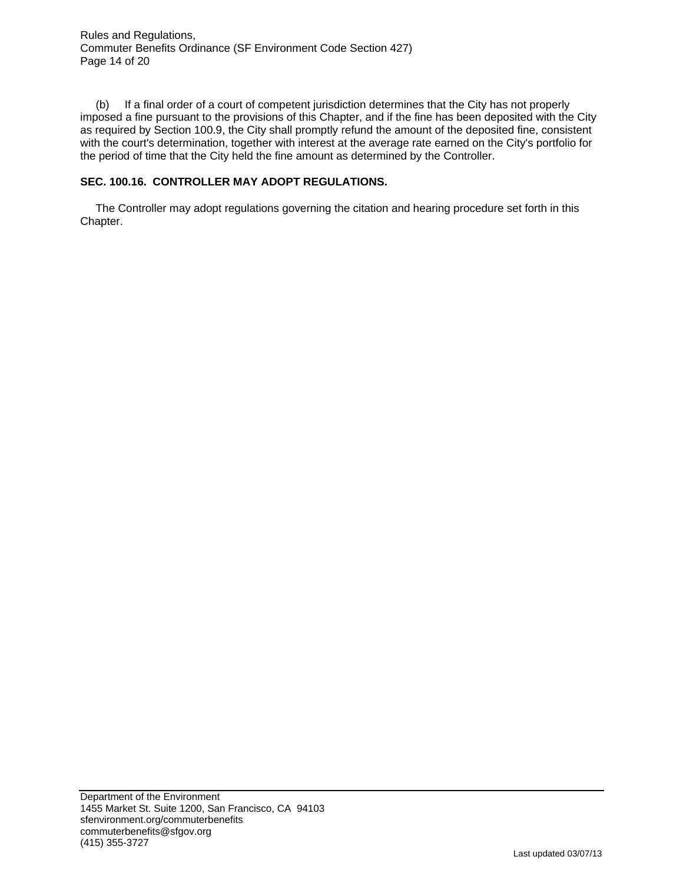Rules and Regulations, Commuter Benefits Ordinance (SF Environment Code Section 427) Page 14 of 20

 (b) If a final order of a court of competent jurisdiction determines that the City has not properly imposed a fine pursuant to the provisions of this Chapter, and if the fine has been deposited with the City as required by Section 100.9, the City shall promptly refund the amount of the deposited fine, consistent with the court's determination, together with interest at the average rate earned on the City's portfolio for the period of time that the City held the fine amount as determined by the Controller.

#### **SEC. 100.16. CONTROLLER MAY ADOPT REGULATIONS.**

 The Controller may adopt regulations governing the citation and hearing procedure set forth in this Chapter.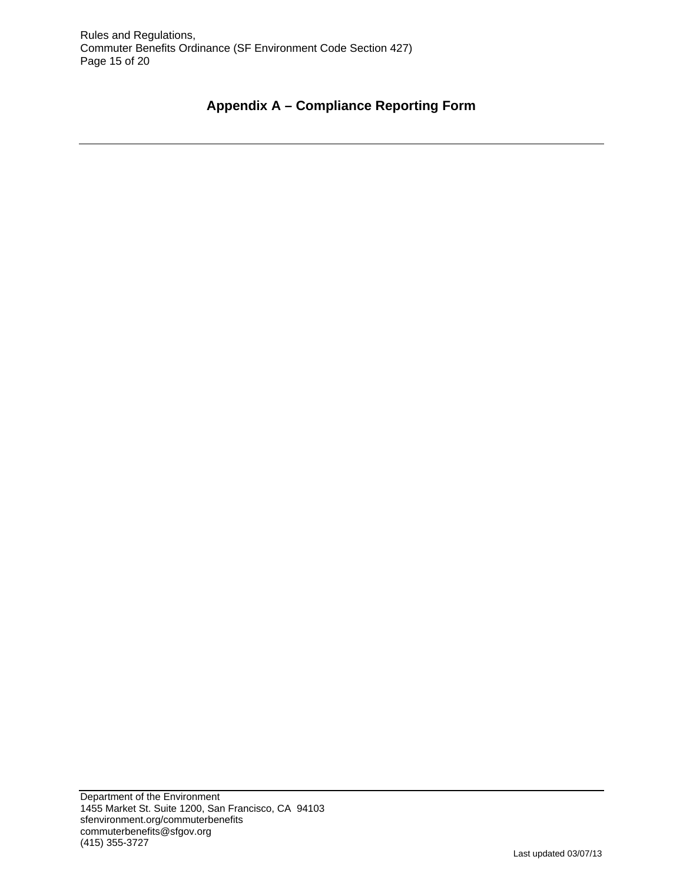# **Appendix A – Compliance Reporting Form**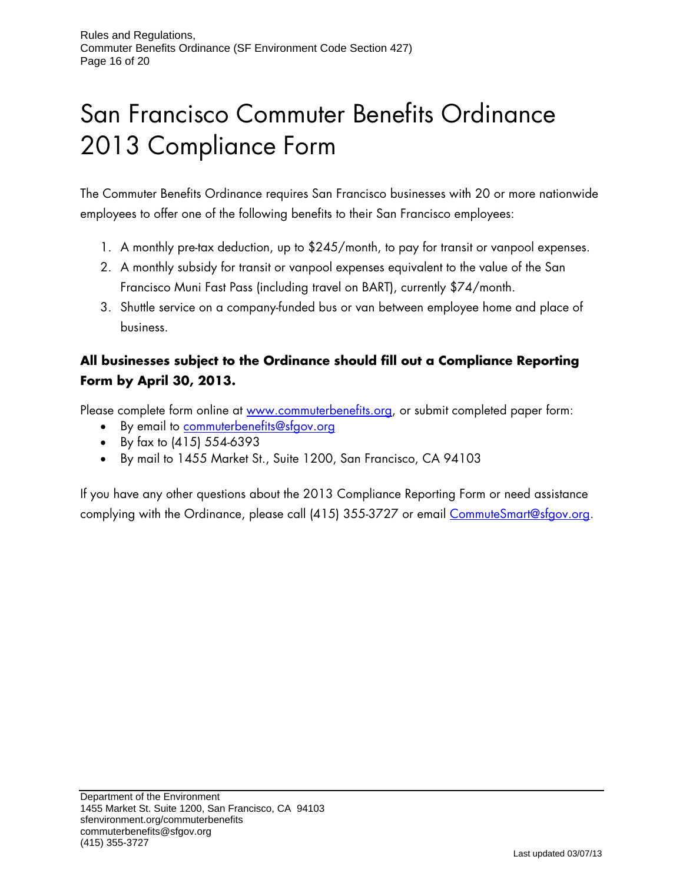# San Francisco Commuter Benefits Ordinance 2013 Compliance Form

The Commuter Benefits Ordinance requires San Francisco businesses with 20 or more nationwide employees to offer one of the following benefits to their San Francisco employees:

- 1. A monthly pre-tax deduction, up to \$245/month, to pay for transit or vanpool expenses.
- 2. A monthly subsidy for transit or vanpool expenses equivalent to the value of the San Francisco Muni Fast Pass (including travel on BART), currently \$74/month.
- 3. Shuttle service on a company-funded bus or van between employee home and place of business.

# **All businesses subject to the Ordinance should fill out a Compliance Reporting Form by April 30, 2013.**

Please complete form online at www.commuterbenefits.org, or submit completed paper form:

- By email to commuterbenefits@sfgov.org
- By fax to (415) 554-6393
- By mail to 1455 Market St., Suite 1200, San Francisco, CA 94103

If you have any other questions about the 2013 Compliance Reporting Form or need assistance complying with the Ordinance, please call (415) 355-3727 or email CommuteSmart@sfgov.org.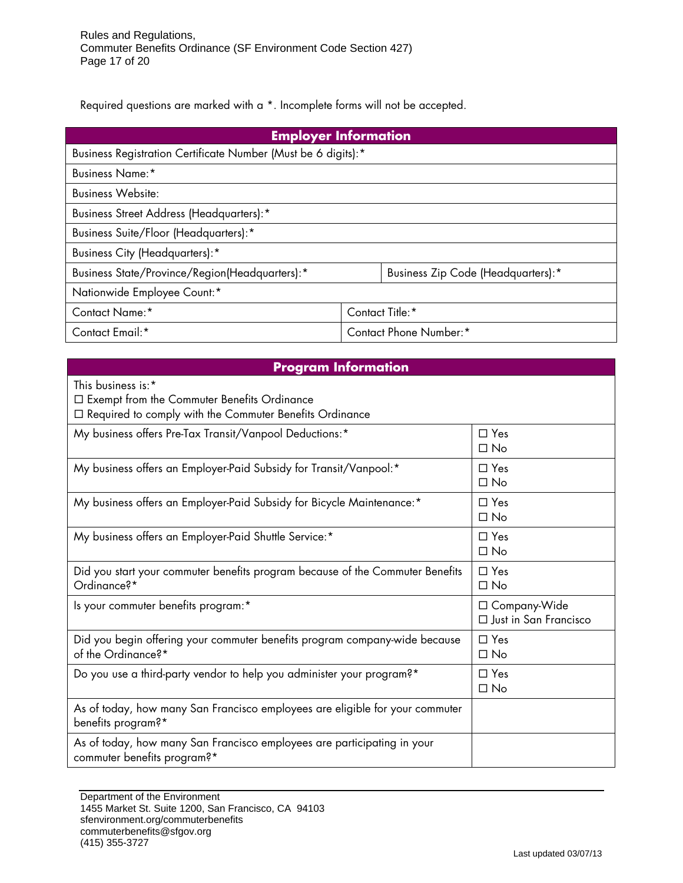Required questions are marked with a \*. Incomplete forms will not be accepted.

| <b>Employer Information</b>                                   |                        |                                    |  |  |
|---------------------------------------------------------------|------------------------|------------------------------------|--|--|
| Business Registration Certificate Number (Must be 6 digits):* |                        |                                    |  |  |
| <b>Business Name:*</b>                                        |                        |                                    |  |  |
| <b>Business Website:</b>                                      |                        |                                    |  |  |
| <b>Business Street Address (Headquarters):*</b>               |                        |                                    |  |  |
| Business Suite/Floor (Headquarters):*                         |                        |                                    |  |  |
| <b>Business City (Headquarters):*</b>                         |                        |                                    |  |  |
| Business State/Province/Region(Headquarters):*                |                        | Business Zip Code (Headquarters):* |  |  |
| Nationwide Employee Count:*                                   |                        |                                    |  |  |
| Contact Name:*                                                | Contact Title:*        |                                    |  |  |
| Contact Email:*                                               | Contact Phone Number:* |                                    |  |  |

## **Program Information**  This business is:\* Exempt from the Commuter Benefits Ordinance  $\Box$  Required to comply with the Commuter Benefits Ordinance My business offers Pre-Tax Transit/Vanpool Deductions:  $*$   $\Box$  Yes  $\Box$  No My business offers an Employer-Paid Subsidy for Transit/Vanpool: $*$   $\Box$  Yes  $\Box$  No My business offers an Employer-Paid Subsidy for Bicycle Maintenance: $*$   $\Box$  Yes  $\Box$  No My business offers an Employer-Paid Shuttle Service:  $*$   $\Box$  Yes  $\Box$  No Did you start your commuter benefits program because of the Commuter Benefits Ordinance?\* □ Yes  $\Box$  No Is your commuter benefits program:\* Company-Wide Just in San Francisco Did you begin offering your commuter benefits program company-wide because of the Ordinance?\* □ Yes  $\Box$  No Do you use a third-party vendor to help you administer your program?\*  $\Box$  Yes  $\Box$  No As of today, how many San Francisco employees are eligible for your commuter benefits program?\* As of today, how many San Francisco employees are participating in your commuter benefits program?\*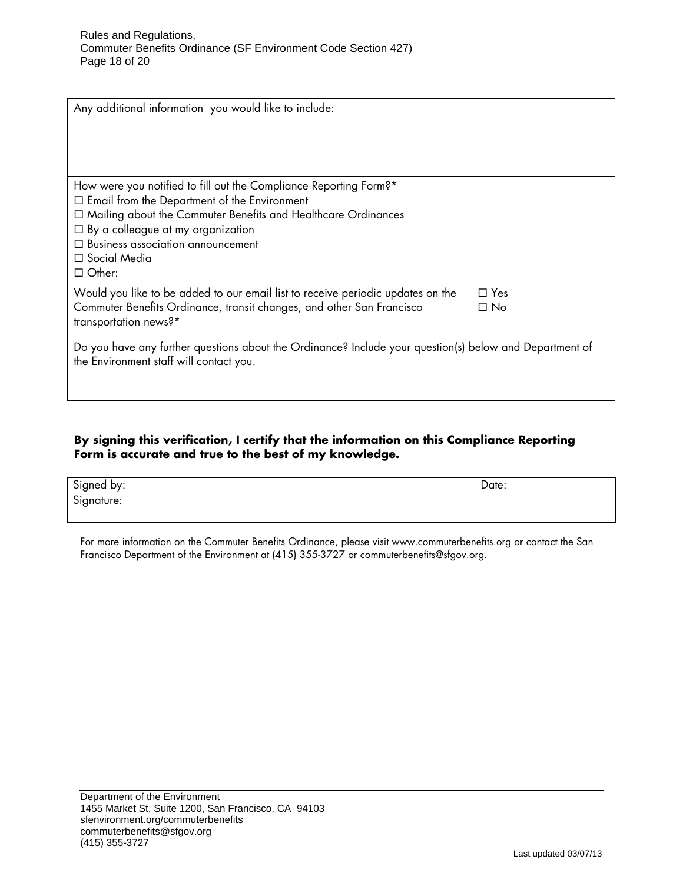| Any additional information you would like to include:                                                                                                                                                                                                                                                                  |                         |
|------------------------------------------------------------------------------------------------------------------------------------------------------------------------------------------------------------------------------------------------------------------------------------------------------------------------|-------------------------|
| How were you notified to fill out the Compliance Reporting Form?*<br>$\Box$ Email from the Department of the Environment<br>□ Mailing about the Commuter Benefits and Healthcare Ordinances<br>$\Box$ By a colleague at my organization<br>$\Box$ Business association announcement<br>□ Social Media<br>$\Box$ Other: |                         |
| Would you like to be added to our email list to receive periodic updates on the<br>Commuter Benefits Ordinance, transit changes, and other San Francisco<br>transportation news?*                                                                                                                                      | $\Box$ Yes<br>$\Box$ No |
| Do you have any further questions about the Ordinance? Include your question(s) below and Department of<br>the Environment staff will contact you.                                                                                                                                                                     |                         |

## **By signing this verification, I certify that the information on this Compliance Reporting Form is accurate and true to the best of my knowledge.**

| $\sim$     | -     |
|------------|-------|
| Signed by: | Date: |
| Signature: |       |

For more information on the Commuter Benefits Ordinance, please visit www.commuterbenefits.org or contact the San Francisco Department of the Environment at (415) 355-3727 or commuterbenefits@sfgov.org.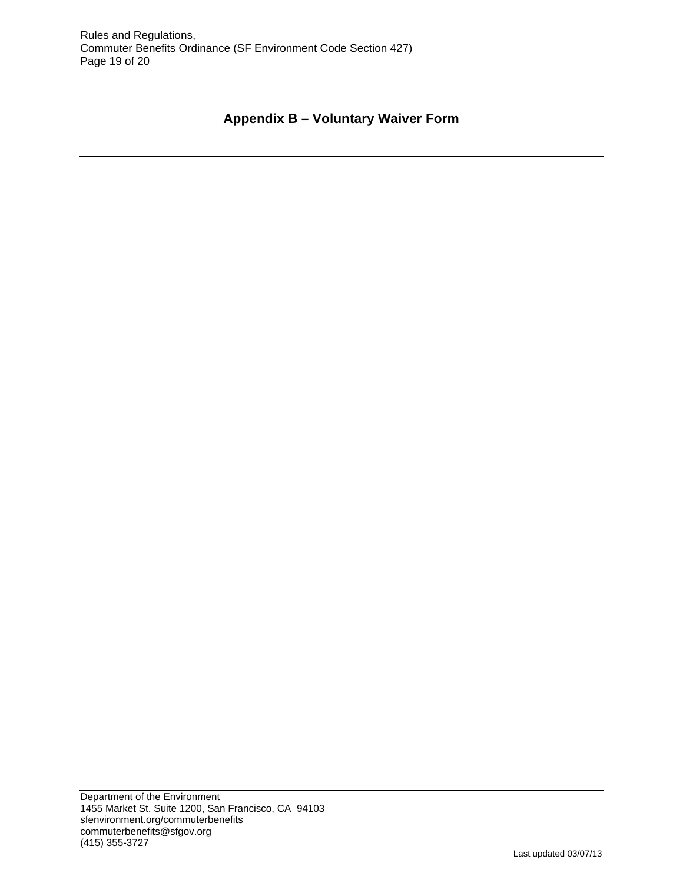# **Appendix B – Voluntary Waiver Form**